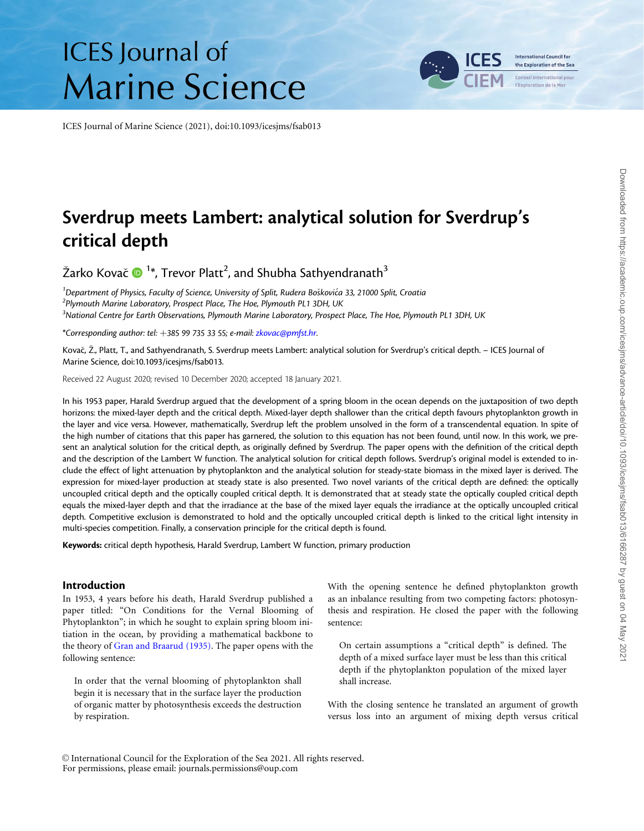# **ICES** Journal of **Marine Science**

ICES Journal of Marine Science (2021), doi:10.1093/icesjms/fsab013

# Sverdrup meets Lambert: analytical solution for Sverdrup's critical depth

Žarko Kovač  $\mathbf{O}$  <sup>1</sup>\*, Trevor Platt<sup>2</sup>, and Shubha Sathyendranath $^3$ 

<sup>1</sup> Department of Physics, Faculty of Science, University of Split, Rudera Boškovića 33, 21000 Split, Croatia<br><sup>2</sup> Plymouth Marine Laboratory, Prospect Place, The Hoe, Plymouth PL1, 2DH, LIK  $2$ Plymouth Marine Laboratory, Prospect Place, The Hoe, Plymouth PL1 3DH, UK  $^3$ National Centre for Earth Observations, Plymouth Marine Laboratory, Prospect Place, The Hoe, Plymouth PL1 3DH, UK

\*Corresponding author: tel: +385 99 735 33 55; e-mail: [zkovac@pmfst.hr](mailto:zkovac@pmfst.hr).

Kovač, Ž., Platt, T., and Sathyendranath, S. Sverdrup meets Lambert: analytical solution for Sverdrup's critical depth. – ICES Journal of Marine Science, doi:10.1093/icesjms/fsab013.

Received 22 August 2020; revised 10 December 2020; accepted 18 January 2021.

In his 1953 paper, Harald Sverdrup argued that the development of a spring bloom in the ocean depends on the juxtaposition of two depth horizons: the mixed-layer depth and the critical depth. Mixed-layer depth shallower than the critical depth favours phytoplankton growth in the layer and vice versa. However, mathematically, Sverdrup left the problem unsolved in the form of a transcendental equation. In spite of the high number of citations that this paper has garnered, the solution to this equation has not been found, until now. In this work, we present an analytical solution for the critical depth, as originally defined by Sverdrup. The paper opens with the definition of the critical depth and the description of the Lambert W function. The analytical solution for critical depth follows. Sverdrup's original model is extended to include the effect of light attenuation by phytoplankton and the analytical solution for steady-state biomass in the mixed layer is derived. The expression for mixed-layer production at steady state is also presented. Two novel variants of the critical depth are defined: the optically uncoupled critical depth and the optically coupled critical depth. It is demonstrated that at steady state the optically coupled critical depth equals the mixed-layer depth and that the irradiance at the base of the mixed layer equals the irradiance at the optically uncoupled critical depth. Competitive exclusion is demonstrated to hold and the optically uncoupled critical depth is linked to the critical light intensity in multi-species competition. Finally, a conservation principle for the critical depth is found.

Keywords: critical depth hypothesis, Harald Sverdrup, Lambert W function, primary production

# Introduction

In 1953, 4 years before his death, Harald Sverdrup published a paper titled: "On Conditions for the Vernal Blooming of Phytoplankton"; in which he sought to explain spring bloom initiation in the ocean, by providing a mathematical backbone to the theory of [Gran and Braarud \(1935\).](#page-10-0) The paper opens with the following sentence:

In order that the vernal blooming of phytoplankton shall begin it is necessary that in the surface layer the production of organic matter by photosynthesis exceeds the destruction by respiration.

With the opening sentence he defined phytoplankton growth as an inbalance resulting from two competing factors: photosynthesis and respiration. He closed the paper with the following sentence:

On certain assumptions a "critical depth" is defined. The depth of a mixed surface layer must be less than this critical depth if the phytoplankton population of the mixed layer shall increase.

With the closing sentence he translated an argument of growth versus loss into an argument of mixing depth versus critical

V<sup>C</sup> International Council for the Exploration of the Sea 2021. All rights reserved. For permissions, please email: journals.permissions@oup.com

**International Council for** the Exploration of the Sea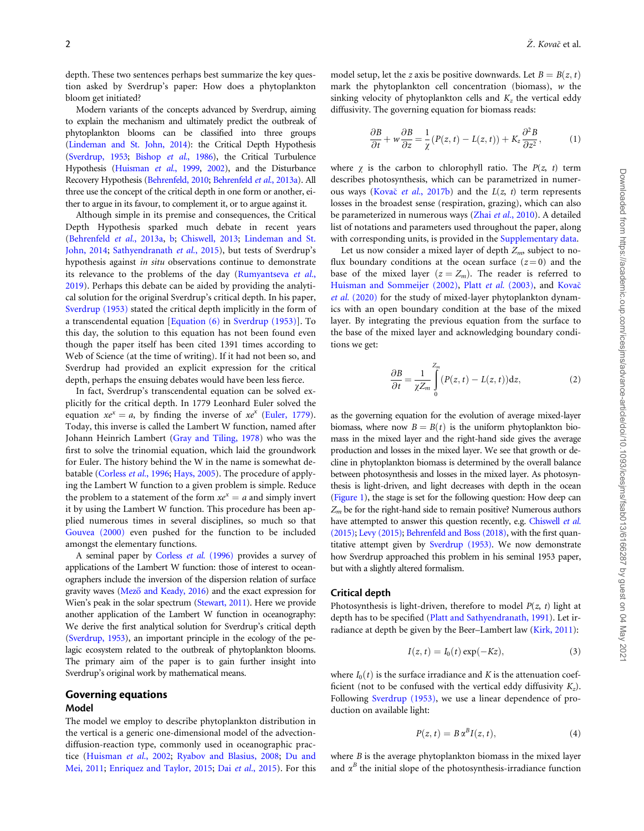<span id="page-1-0"></span>depth. These two sentences perhaps best summarize the key question asked by Sverdrup's paper: How does a phytoplankton bloom get initiated?

Modern variants of the concepts advanced by Sverdrup, aiming to explain the mechanism and ultimately predict the outbreak of phytoplankton blooms can be classified into three groups [\(Lindeman and St. John, 2014](#page-10-0)): the Critical Depth Hypothesis [\(Sverdrup, 1953](#page-10-0); [Bishop](#page-9-0) et al., 1986), the Critical Turbulence Hypothesis [\(Huisman](#page-10-0) et al., 1999, [2002\)](#page-10-0), and the Disturbance Recovery Hypothesis [\(Behrenfeld, 2010](#page-9-0); [Behrenfeld](#page-9-0) et al., 2013a). All three use the concept of the critical depth in one form or another, either to argue in its favour, to complement it, or to argue against it.

Although simple in its premise and consequences, the Critical Depth Hypothesis sparked much debate in recent years ([Behrenfeld](#page-9-0) et al., 2013a, [b](#page-9-0); [Chiswell, 2013](#page-9-0); [Lindeman and St.](#page-10-0) [John, 2014](#page-10-0); [Sathyendranath](#page-10-0) et al., 2015), but tests of Sverdrup's hypothesis against in situ observations continue to demonstrate its relevance to the problems of the day [\(Rumyantseva](#page-10-0) et al., [2019\)](#page-10-0). Perhaps this debate can be aided by providing the analytical solution for the original Sverdrup's critical depth. In his paper, [Sverdrup \(1953\)](#page-10-0) stated the critical depth implicitly in the form of a transcendental equation [[Equation \(6\)](#page-2-0) in [Sverdrup \(1953\)](#page-10-0)]. To this day, the solution to this equation has not been found even though the paper itself has been cited 1391 times according to Web of Science (at the time of writing). If it had not been so, and Sverdrup had provided an explicit expression for the critical depth, perhaps the ensuing debates would have been less fierce.

In fact, Sverdrup's transcendental equation can be solved explicitly for the critical depth. In 1779 Leonhard Euler solved the equation  $xe^{x} = a$ , by finding the inverse of  $xe^{x}$  [\(Euler, 1779\)](#page-9-0). Today, this inverse is called the Lambert W function, named after Johann Heinrich Lambert ([Gray and Tiling, 1978\)](#page-10-0) who was the first to solve the trinomial equation, which laid the groundwork for Euler. The history behind the W in the name is somewhat debatable ([Corless](#page-9-0) et al., 1996; [Hays, 2005\)](#page-10-0). The procedure of applying the Lambert W function to a given problem is simple. Reduce the problem to a statement of the form  $xe^x = a$  and simply invert it by using the Lambert W function. This procedure has been applied numerous times in several disciplines, so much so that [Gouvea \(2000\)](#page-10-0) even pushed for the function to be included amongst the elementary functions.

A seminal paper by [Corless](#page-9-0) et al. (1996) provides a survey of applications of the Lambert W function: those of interest to oceanographers include the inversion of the dispersion relation of surface gravity waves (Mező and Keady, 2016) and the exact expression for Wien's peak in the solar spectrum ([Stewart, 2011](#page-10-0)). Here we provide another application of the Lambert W function in oceanography: We derive the first analytical solution for Sverdrup's critical depth [\(Sverdrup, 1953\)](#page-10-0), an important principle in the ecology of the pelagic ecosystem related to the outbreak of phytoplankton blooms. The primary aim of the paper is to gain further insight into Sverdrup's original work by mathematical means.

# Governing equations

# Model

The model we employ to describe phytoplankton distribution in the vertical is a generic one-dimensional model of the advectiondiffusion-reaction type, commonly used in oceanographic practice [\(Huisman](#page-10-0) et al., 2002; [Ryabov and Blasius, 2008](#page-10-0); [Du and](#page-9-0) [Mei, 2011;](#page-9-0) [Enriquez and Taylor, 2015;](#page-9-0) Dai et al.[, 2015](#page-9-0)). For this model setup, let the z axis be positive downwards. Let  $B = B(z, t)$ mark the phytoplankton cell concentration (biomass),  $w$  the sinking velocity of phytoplankton cells and  $K<sub>z</sub>$  the vertical eddy diffusivity. The governing equation for biomass reads:

$$
\frac{\partial B}{\partial t} + w \frac{\partial B}{\partial z} = \frac{1}{\chi} (P(z, t) - L(z, t)) + K_z \frac{\partial^2 B}{\partial z^2}, \tag{1}
$$

where  $\chi$  is the carbon to chlorophyll ratio. The  $P(z, t)$  term describes photosynthesis, which can be parametrized in numer-ous ways [\(Kova](#page-10-0)č et al.[, 2017b](#page-10-0)) and the  $L(z, t)$  term represents losses in the broadest sense (respiration, grazing), which can also be parameterized in numerous ways (Zhai et al.[, 2010](#page-10-0)). A detailed list of notations and parameters used throughout the paper, along with corresponding units, is provided in the [Supplementary data.](https://academic.oup.com/icesjms/article-lookup/doi/10.1093/icesjms/fsab013#supplementary-data)

Let us now consider a mixed layer of depth  $Z_m$ , subject to noflux boundary conditions at the ocean surface  $(z=0)$  and the base of the mixed layer  $(z = Z_m)$ . The reader is referred to [Huisman and Sommeijer \(2002\),](#page-10-0) Platt et al. [\(2003\),](#page-10-0) and [Kova](#page-10-0)č et al. [\(2020\)](#page-10-0) for the study of mixed-layer phytoplankton dynamics with an open boundary condition at the base of the mixed layer. By integrating the previous equation from the surface to the base of the mixed layer and acknowledging boundary conditions we get:

$$
\frac{\partial B}{\partial t} = \frac{1}{\chi Z_m} \int_{0}^{Z_m} (P(z, t) - L(z, t)) dz,
$$
\n(2)

as the governing equation for the evolution of average mixed-layer biomass, where now  $B = B(t)$  is the uniform phytoplankton biomass in the mixed layer and the right-hand side gives the average production and losses in the mixed layer. We see that growth or decline in phytoplankton biomass is determined by the overall balance between photosynthesis and losses in the mixed layer. As photosynthesis is light-driven, and light decreases with depth in the ocean ([Figure 1](#page-2-0)), the stage is set for the following question: How deep can  $Z_m$  be for the right-hand side to remain positive? Numerous authors have attempted to answer this question recently, e.g. [Chiswell](#page-9-0) et al. [\(2015\)](#page-9-0); [Levy \(2015\);](#page-10-0) [Behrenfeld and Boss \(2018\),](#page-9-0) with the first quantitative attempt given by [Sverdrup \(1953\).](#page-10-0) We now demonstrate how Sverdrup approached this problem in his seminal 1953 paper, but with a slightly altered formalism.

#### Critical depth

Photosynthesis is light-driven, therefore to model  $P(z, t)$  light at depth has to be specified [\(Platt and Sathyendranath, 1991](#page-10-0)). Let irradiance at depth be given by the Beer–Lambert law [\(Kirk, 2011](#page-10-0)):

$$
I(z, t) = I_0(t) \exp(-Kz), \tag{3}
$$

where  $I_0(t)$  is the surface irradiance and K is the attenuation coefficient (not to be confused with the vertical eddy diffusivity  $K_z$ ). Following [Sverdrup \(1953\)](#page-10-0), we use a linear dependence of production on available light:

$$
P(z,t) = B \alpha^B I(z,t), \qquad (4)
$$

where  $B$  is the average phytoplankton biomass in the mixed layer and  $\alpha^B$  the initial slope of the photosynthesis-irradiance function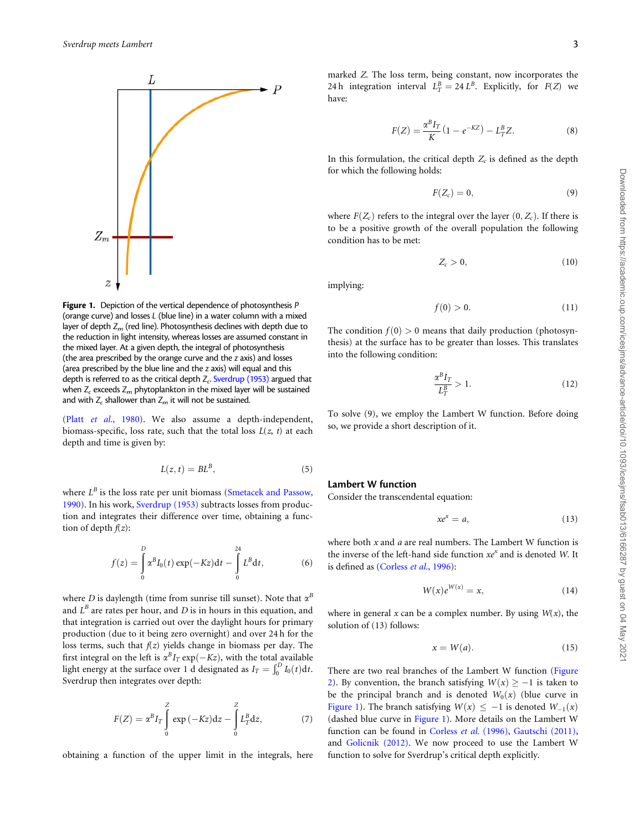<span id="page-2-0"></span>

Figure 1. Depiction of the vertical dependence of photosynthesis P (orange curve) and losses L (blue line) in a water column with a mixed layer of depth  $Z_m$  (red line). Photosynthesis declines with depth due to the reduction in light intensity, whereas losses are assumed constant in the mixed layer. At a given depth, the integral of photosynthesis (the area prescribed by the orange curve and the z axis) and losses (area prescribed by the blue line and the z axis) will equal and this depth is referred to as the critical depth  $Z_c$ . [Sverdrup \(1953\)](#page-10-0) argued that when  $Z_c$  exceeds  $Z_m$  phytoplankton in the mixed layer will be sustained and with  $Z_c$  shallower than  $Z_m$  it will not be sustained.

(Platt et al.[, 1980\)](#page-10-0). We also assume a depth-independent, biomass-specific, loss rate, such that the total loss  $L(z, t)$  at each depth and time is given by:

$$
L(z,t) = BL^B,\t\t(5)
$$

where  $L^B$  is the loss rate per unit biomass ([Smetacek and Passow,](#page-10-0) [1990\)](#page-10-0). In his work, [Sverdrup \(1953\)](#page-10-0) subtracts losses from production and integrates their difference over time, obtaining a function of depth  $f(z)$ :

$$
f(z) = \int_{0}^{D} \alpha^{B} I_{0}(t) \exp(-Kz) dt - \int_{0}^{24} L^{B} dt,
$$
 (6)

where D is daylength (time from sunrise till sunset). Note that  $\alpha^B$ and  $L^B$  are rates per hour, and D is in hours in this equation, and that integration is carried out over the daylight hours for primary production (due to it being zero overnight) and over 24 h for the loss terms, such that  $f(z)$  yields change in biomass per day. The first integral on the left is  $\alpha^B I_T \exp(-Kz)$ , with the total available light energy at the surface over 1 d designated as  $I_T = \int_0^D I_0(t) dt$ . Sverdrup then integrates over depth:

$$
F(Z) = \alpha^B I_T \int\limits_0^Z \exp(-Kz) dz - \int\limits_0^Z L_T^B dz, \tag{7}
$$

obtaining a function of the upper limit in the integrals, here

marked Z. The loss term, being constant, now incorporates the 24 h integration interval  $L_T^B = 24 L^B$ . Explicitly, for  $F(Z)$  we have:

$$
F(Z) = \frac{\alpha^B I_T}{K} (1 - e^{-KZ}) - L_T^B Z.
$$
 (8)

In this formulation, the critical depth  $Z_c$  is defined as the depth for which the following holds:

$$
F(Z_c) = 0,\t\t(9)
$$

where  $F(Z_c)$  refers to the integral over the layer  $(0, Z_c)$ . If there is to be a positive growth of the overall population the following condition has to be met:

$$
Z_c > 0, \t\t(10)
$$

implying:

$$
f(0) > 0. \tag{11}
$$

The condition  $f(0) > 0$  means that daily production (photosynthesis) at the surface has to be greater than losses. This translates into the following condition:

$$
\frac{\alpha^B I_T}{L_T^B} > 1.
$$
\n(12)

To solve (9), we employ the Lambert W function. Before doing so, we provide a short description of it.

# Lambert W function

Consider the transcendental equation:

$$
xe^x = a,\tag{13}
$$

where both  $x$  and  $a$  are real numbers. The Lambert W function is the inverse of the left-hand side function  $xe^x$  and is denoted W. It is defined as [\(Corless](#page-9-0) et al., 1996):

$$
W(x)e^{W(x)} = x,\t\t(14)
$$

where in general  $x$  can be a complex number. By using  $W(x)$ , the solution of (13) follows:

$$
x = W(a). \tag{15}
$$

There are two real branches of the Lambert W function ([Figure](#page-3-0) [2](#page-3-0)). By convention, the branch satisfying  $W(x) \geq -1$  is taken to be the principal branch and is denoted  $W_0(x)$  (blue curve in Figure 1). The branch satisfying  $W(x) \leq -1$  is denoted  $W_{-1}(x)$ (dashed blue curve in Figure 1). More details on the Lambert W function can be found in [Corless](#page-9-0) et al. (1996), [Gautschi \(2011\),](#page-9-0) and [Golicnik \(2012\).](#page-10-0) We now proceed to use the Lambert W function to solve for Sverdrup's critical depth explicitly.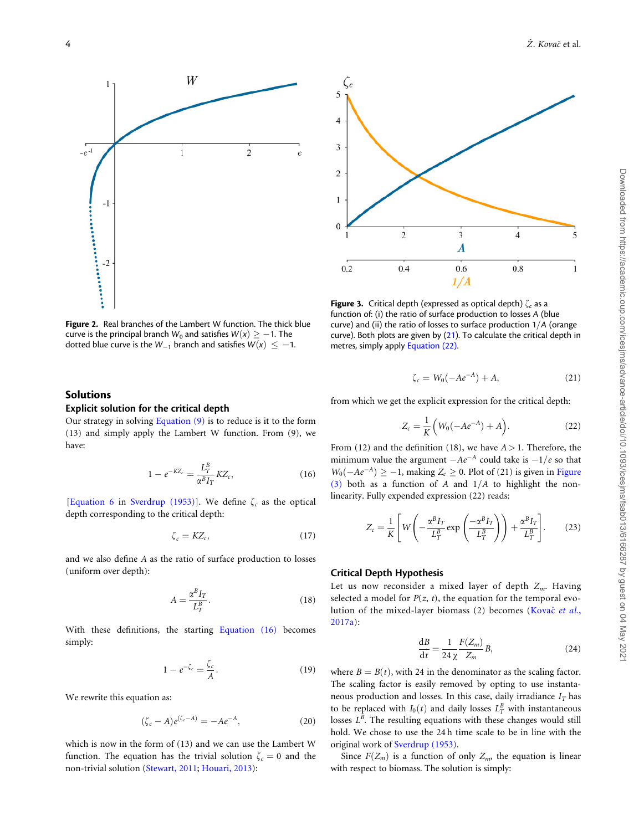<span id="page-3-0"></span>

Figure 2. Real branches of the Lambert W function. The thick blue curve is the principal branch  $W_0$  and satisfies  $W(x)\geq -1.$  The dotted blue curve is the  $W_{-1}$  branch and satisfies  $W(x) \leq -1$ .

# Solutions

# Explicit solution for the critical depth

Our strategy in solving [Equation \(9\)](#page-2-0) is to reduce is it to the form (13) and simply apply the Lambert W function. From (9), we have:

$$
1 - e^{-KZ_c} = \frac{L_T^B}{\alpha^B I_T} K Z_c,
$$
\n(16)

[[Equation 6](#page-2-0) in [Sverdrup \(1953\)\]](#page-10-0). We define  $\zeta_c$  as the optical depth corresponding to the critical depth:

$$
\zeta_c = KZ_c,\tag{17}
$$

and we also define A as the ratio of surface production to losses (uniform over depth):

$$
A = \frac{\alpha^B I_T}{L_T^B}.\tag{18}
$$

With these definitions, the starting Equation (16) becomes simply:

$$
1 - e^{-\zeta_c} = \frac{\zeta_c}{A}.\tag{19}
$$

We rewrite this equation as:

$$
(\zeta_c - A)e^{(\zeta_c - A)} = -Ae^{-A}, \qquad (20)
$$

which is now in the form of (13) and we can use the Lambert W function. The equation has the trivial solution  $\zeta_c = 0$  and the non-trivial solution ([Stewart, 2011;](#page-10-0) [Houari, 2013\)](#page-10-0):



**Figure 3.** Critical depth (expressed as optical depth)  $\zeta_c$  as a function of: (i) the ratio of surface production to losses A (blue curve) and (ii) the ratio of losses to surface production  $1/A$  (orange curve). Both plots are given by ([21](#page-10-0)). To calculate the critical depth in metres, simply apply Equation (22).

$$
\zeta_c = W_0(-Ae^{-A}) + A,\t(21)
$$

from which we get the explicit expression for the critical depth:

$$
Z_c = \frac{1}{K} \left( W_0(-Ae^{-A}) + A \right).
$$
 (22)

From (12) and the definition (18), we have  $A > 1$ . Therefore, the minimum value the argument  $-Ae^{-A}$  could take is  $-1/e$  so that  $W_0(-Ae^{-A}) \ge -1$ , making  $Z_c \ge 0$ . Plot of (21) is given in Figure (3) both as a function of A and  $1/A$  to highlight the nonlinearity. Fully expended expression (22) reads:

$$
Z_c = \frac{1}{K} \left[ W \left( -\frac{\alpha^B I_T}{L_T^B} \exp\left( \frac{-\alpha^B I_T}{L_T^B} \right) \right) + \frac{\alpha^B I_T}{L_T^B} \right].
$$
 (23)

# Critical Depth Hypothesis

Let us now reconsider a mixed layer of depth  $Z_m$ . Having selected a model for  $P(z, t)$ , the equation for the temporal evo-lution of the mixed-layer biomass (2) becomes ([Kova](#page-10-0)č [et al.](#page-10-0), [2017a\)](#page-10-0):

$$
\frac{\mathrm{d}B}{\mathrm{d}t} = \frac{1}{24} \frac{F(Z_m)}{Z_m} B,\tag{24}
$$

where  $B = B(t)$ , with 24 in the denominator as the scaling factor. The scaling factor is easily removed by opting to use instantaneous production and losses. In this case, daily irradiance  $I_T$  has to be replaced with  $I_0(t)$  and daily losses  $L^B_T$  with instantaneous losses  $L^B$ . The resulting equations with these changes would still hold. We chose to use the 24 h time scale to be in line with the original work of [Sverdrup \(1953\)](#page-10-0).

Since  $F(Z_m)$  is a function of only  $Z_m$ , the equation is linear with respect to biomass. The solution is simply: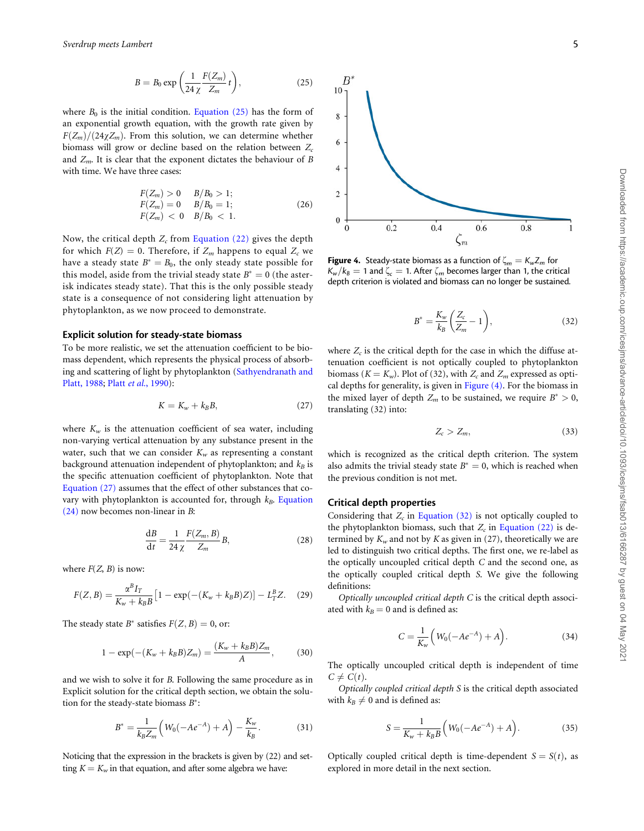$$
B = B_0 \exp\left(\frac{1}{24\,\chi} \frac{F(Z_m)}{Z_m} t\right),\tag{25}
$$

where  $B_0$  is the initial condition. [Equation \(25\)](#page-3-0) has the form of an exponential growth equation, with the growth rate given by  $F(Z_m)/(24\chi Z_m)$ . From this solution, we can determine whether biomass will grow or decline based on the relation between  $Z_c$ and  $Z_m$ . It is clear that the exponent dictates the behaviour of B with time. We have three cases:

$$
F(Z_m) > 0 \t B/B_0 > 1;F(Z_m) = 0 \t B/B_0 = 1;F(Z_m) < 0 \t B/B_0 < 1.
$$
 (26)

Now, the critical depth  $Z_c$  from [Equation \(22\)](#page-3-0) gives the depth for which  $F(Z) = 0$ . Therefore, if  $Z_m$  happens to equal  $Z_c$  we have a steady state  $B^* = B_0$ , the only steady state possible for this model, aside from the trivial steady state  $B^* = 0$  (the asterisk indicates steady state). That this is the only possible steady state is a consequence of not considering light attenuation by phytoplankton, as we now proceed to demonstrate.

#### Explicit solution for steady-state biomass

To be more realistic, we set the attenuation coefficient to be biomass dependent, which represents the physical process of absorbing and scattering of light by phytoplankton ([Sathyendranath and](#page-10-0) [Platt, 1988](#page-10-0); Platt et al.[, 1990](#page-10-0)):

$$
K = K_w + k_B B,\t\t(27)
$$

where  $K_w$  is the attenuation coefficient of sea water, including non-varying vertical attenuation by any substance present in the water, such that we can consider  $K_w$  as representing a constant background attenuation independent of phytoplankton; and  $k_B$  is the specific attenuation coefficient of phytoplankton. Note that Equation (27) assumes that the effect of other substances that covary with phytoplankton is accounted for, through  $k_B$ . [Equation](#page-3-0) [\(24\)](#page-3-0) now becomes non-linear in B:

$$
\frac{\mathrm{d}B}{\mathrm{d}t} = \frac{1}{24} \frac{F(Z_m, B)}{Z_m} B,\tag{28}
$$

where  $F(Z, B)$  is now:

$$
F(Z, B) = \frac{\alpha^B I_T}{K_w + k_B B} \left[ 1 - \exp(-(K_w + k_B B)Z) \right] - L_T^B Z. \tag{29}
$$

The steady state  $B^*$  satisfies  $F(Z, B) = 0$ , or:

$$
1 - \exp(-(K_w + k_B B)Z_m) = \frac{(K_w + k_B B)Z_m}{A},
$$
 (30)

and we wish to solve it for B. Following the same procedure as in Explicit solution for the critical depth section, we obtain the solution for the steady-state biomass  $B^*$ :

$$
B^* = \frac{1}{k_B Z_m} \left( W_0(-Ae^{-A}) + A \right) - \frac{K_w}{k_B}.
$$
 (31)

Noticing that the expression in the brackets is given by (22) and setting  $K = K_w$  in that equation, and after some algebra we have:



**Figure 4.** Steady-state biomass as a function of  $\zeta_m = K_w Z_m$  for  $K_w/k_B = 1$  and  $\zeta_c = 1$ . After  $\zeta_m$  becomes larger than 1, the critical depth criterion is violated and biomass can no longer be sustained.

$$
B^* = \frac{K_w}{k_B} \left( \frac{Z_c}{Z_m} - 1 \right),\tag{32}
$$

where  $Z_c$  is the critical depth for the case in which the diffuse attenuation coefficient is not optically coupled to phytoplankton biomass ( $K = K_w$ ). Plot of (32), with  $Z_c$  and  $Z_m$  expressed as optical depths for generality, is given in Figure (4). For the biomass in the mixed layer of depth  $Z_m$  to be sustained, we require  $B^* > 0$ , translating (32) into:

$$
Z_c > Z_m, \tag{33}
$$

which is recognized as the critical depth criterion. The system also admits the trivial steady state  $B^* = 0$ , which is reached when the previous condition is not met.

#### Critical depth properties

Considering that  $Z_c$  in Equation (32) is not optically coupled to the phytoplankton biomass, such that  $Z_c$  in [Equation \(22\)](#page-3-0) is determined by  $K_w$  and not by  $K$  as given in (27), theoretically we are led to distinguish two critical depths. The first one, we re-label as the optically uncoupled critical depth C and the second one, as the optically coupled critical depth S. We give the following definitions:

Optically uncoupled critical depth  $C$  is the critical depth associated with  $k_B = 0$  and is defined as:

$$
C = \frac{1}{K_w} \left( W_0(-Ae^{-A}) + A \right).
$$
 (34)

The optically uncoupled critical depth is independent of time  $C \neq C(t)$ .

Optically coupled critical depth S is the critical depth associated with  $k_B \neq 0$  and is defined as:

$$
S = \frac{1}{K_w + k_B B} \left( W_0(-Ae^{-A}) + A \right).
$$
 (35)

Optically coupled critical depth is time-dependent  $S = S(t)$ , as explored in more detail in the next section.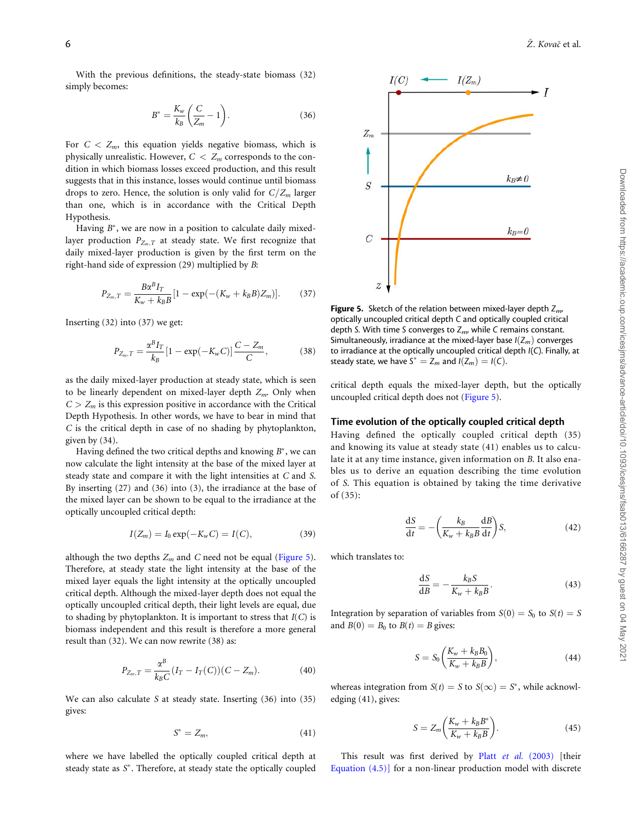<span id="page-5-0"></span>With the previous definitions, the steady-state biomass (32) simply becomes:

$$
B^* = \frac{K_w}{k_B} \left( \frac{C}{Z_m} - 1 \right). \tag{36}
$$

For  $C < Z_m$ , this equation yields negative biomass, which is physically unrealistic. However,  $C < Z_m$  corresponds to the condition in which biomass losses exceed production, and this result suggests that in this instance, losses would continue until biomass drops to zero. Hence, the solution is only valid for  $C/Z_m$  larger than one, which is in accordance with the Critical Depth Hypothesis.

Having  $B^*$ , we are now in a position to calculate daily mixedlayer production  $P_{Z_m,T}$  at steady state. We first recognize that daily mixed-layer production is given by the first term on the right-hand side of expression (29) multiplied by B:

$$
P_{Z_m,T} = \frac{B\alpha^B I_T}{K_w + k_B B} [1 - \exp(-(K_w + k_B B)Z_m)].
$$
 (37)

Inserting (32) into (37) we get:

$$
P_{Z_m,T} = \frac{\alpha^B I_T}{k_B} [1 - \exp(-K_w C)] \frac{C - Z_m}{C}, \qquad (38)
$$

as the daily mixed-layer production at steady state, which is seen to be linearly dependent on mixed-layer depth  $Z_m$ . Only when  $C > Z_m$  is this expression positive in accordance with the Critical Depth Hypothesis. In other words, we have to bear in mind that C is the critical depth in case of no shading by phytoplankton, given by (34).

Having defined the two critical depths and knowing  $B^*$ , we can now calculate the light intensity at the base of the mixed layer at steady state and compare it with the light intensities at C and S. By inserting (27) and (36) into (3), the irradiance at the base of the mixed layer can be shown to be equal to the irradiance at the optically uncoupled critical depth:

$$
I(Z_m) = I_0 \exp(-K_w C) = I(C),
$$
 (39)

although the two depths  $Z_m$  and C need not be equal (Figure 5). Therefore, at steady state the light intensity at the base of the mixed layer equals the light intensity at the optically uncoupled critical depth. Although the mixed-layer depth does not equal the optically uncoupled critical depth, their light levels are equal, due to shading by phytoplankton. It is important to stress that  $I(C)$  is biomass independent and this result is therefore a more general result than (32). We can now rewrite (38) as:

$$
P_{Z_m,T} = \frac{\alpha^B}{k_B C} (I_T - I_T(C))(C - Z_m). \tag{40}
$$

We can also calculate S at steady state. Inserting (36) into (35) gives:

$$
S^* = Z_m,\tag{41}
$$

where we have labelled the optically coupled critical depth at steady state as  $S^*$ . Therefore, at steady state the optically coupled



**Figure 5.** Sketch of the relation between mixed-layer depth  $Z_{m}$ optically uncoupled critical depth C and optically coupled critical depth S. With time S converges to  $Z_{\text{m}}$ , while C remains constant. Simultaneously, irradiance at the mixed-layer base  $I(Z_m)$  converges to irradiance at the optically uncoupled critical depth I(C). Finally, at steady state, we have  $S^* = Z_m$  and  $I(Z_m) = I(C)$ .

critical depth equals the mixed-layer depth, but the optically uncoupled critical depth does not (Figure 5).

#### Time evolution of the optically coupled critical depth

Having defined the optically coupled critical depth (35) and knowing its value at steady state (41) enables us to calculate it at any time instance, given information on B. It also enables us to derive an equation describing the time evolution of S. This equation is obtained by taking the time derivative of (35):

$$
\frac{\mathrm{d}S}{\mathrm{d}t} = -\left(\frac{k_B}{K_w + k_B B} \frac{\mathrm{d}B}{\mathrm{d}t}\right) S,\tag{42}
$$

which translates to:

$$
\frac{\mathrm{d}S}{\mathrm{d}B} = -\frac{k_B S}{K_w + k_B B}.\tag{43}
$$

Integration by separation of variables from  $S(0) = S_0$  to  $S(t) = S$ and  $B(0) = B_0$  to  $B(t) = B$  gives:

$$
S = S_0 \left( \frac{K_w + k_B B_0}{K_w + k_B B} \right),\tag{44}
$$

whereas integration from  $S(t) = S$  to  $S(\infty) = S^*$ , while acknowledging (41), gives:

$$
S = Z_m \bigg( \frac{K_w + k_B B^*}{K_w + k_B B} \bigg). \tag{45}
$$

This result was first derived by Platt et al. [\(2003\)](#page-10-0) [their [Equation \(4.5\)\]](#page-1-0) for a non-linear production model with discrete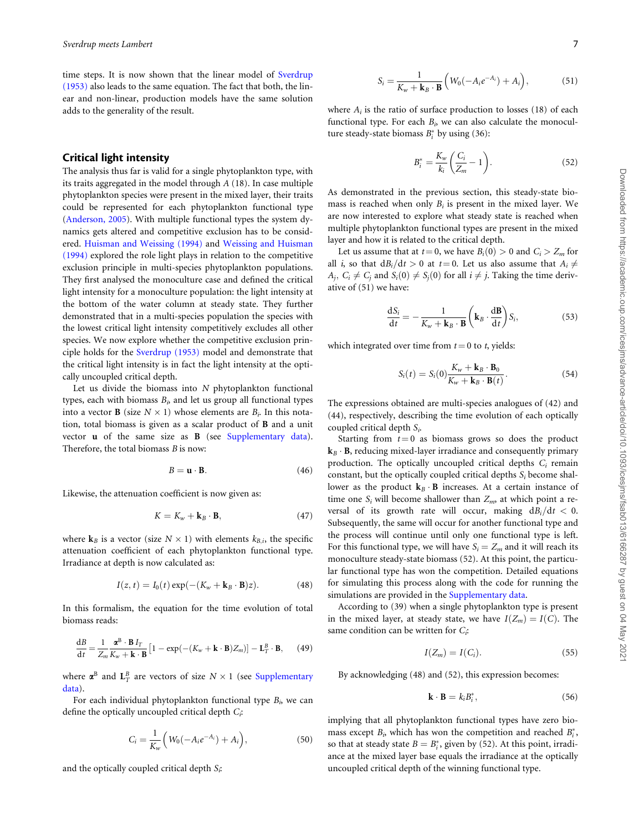time steps. It is now shown that the linear model of [Sverdrup](#page-10-0) [\(1953\)](#page-10-0) also leads to the same equation. The fact that both, the linear and non-linear, production models have the same solution adds to the generality of the result.

# Critical light intensity

The analysis thus far is valid for a single phytoplankton type, with its traits aggregated in the model through A (18). In case multiple phytoplankton species were present in the mixed layer, their traits could be represented for each phytoplankton functional type ([Anderson, 2005](#page-9-0)). With multiple functional types the system dynamics gets altered and competitive exclusion has to be considered. [Huisman and Weissing \(1994\)](#page-10-0) and [Weissing and Huisman](#page-10-0) [\(1994\)](#page-10-0) explored the role light plays in relation to the competitive exclusion principle in multi-species phytoplankton populations. They first analysed the monoculture case and defined the critical light intensity for a monoculture population: the light intensity at the bottom of the water column at steady state. They further demonstrated that in a multi-species population the species with the lowest critical light intensity competitively excludes all other species. We now explore whether the competitive exclusion principle holds for the [Sverdrup \(1953\)](#page-10-0) model and demonstrate that the critical light intensity is in fact the light intensity at the optically uncoupled critical depth.

Let us divide the biomass into  $N$  phytoplankton functional types, each with biomass  $B<sub>i</sub>$ , and let us group all functional types into a vector **B** (size  $N \times 1$ ) whose elements are  $B_i$ . In this notation, total biomass is given as a scalar product of B and a unit vector u of the same size as B (see [Supplementary data](https://academic.oup.com/icesjms/article-lookup/doi/10.1093/icesjms/fsab013#supplementary-data)). Therefore, the total biomass  $B$  is now:

$$
B = \mathbf{u} \cdot \mathbf{B}.\tag{46}
$$

Likewise, the attenuation coefficient is now given as:

$$
K = K_w + \mathbf{k}_B \cdot \mathbf{B},\tag{47}
$$

where  $\mathbf{k}_B$  is a vector (size  $N \times 1$ ) with elements  $k_{B,i}$ , the specific attenuation coefficient of each phytoplankton functional type. Irradiance at depth is now calculated as:

$$
I(z,t) = I_0(t) \exp(-(K_w + \mathbf{k}_B \cdot \mathbf{B})z). \tag{48}
$$

In this formalism, the equation for the time evolution of total biomass reads:

$$
\frac{\mathrm{d}B}{\mathrm{d}t} = \frac{1}{Z_m} \frac{\mathbf{\alpha}^{\mathrm{B}} \cdot \mathbf{B} I_T}{K_w + \mathbf{k} \cdot \mathbf{B}} \left[ 1 - \exp(-(K_w + \mathbf{k} \cdot \mathbf{B}) Z_m) \right] - \mathbf{L}_T^B \cdot \mathbf{B},\qquad(49)
$$

where  $\boldsymbol{\alpha}^{\text{B}}$  and  $\mathbf{L}_T^B$  are vectors of size  $N \times 1$  (see [Supplementary](https://academic.oup.com/icesjms/article-lookup/doi/10.1093/icesjms/fsab013#supplementary-data) [data\)](https://academic.oup.com/icesjms/article-lookup/doi/10.1093/icesjms/fsab013#supplementary-data).

For each individual phytoplankton functional type  $B_i$ , we can define the optically uncoupled critical depth  $C_i$ :

$$
C_i = \frac{1}{K_w} \left( W_0(-A_i e^{-A_i}) + A_i \right), \tag{50}
$$

and the optically coupled critical depth  $S_i$ :

$$
S_i = \frac{1}{K_w + \mathbf{k}_B \cdot \mathbf{B}} \left( W_0(-A_i e^{-A_i}) + A_i \right), \tag{51}
$$

where  $A_i$  is the ratio of surface production to losses (18) of each functional type. For each  $B_i$ , we can also calculate the monoculture steady-state biomass  $B_i^*$  by using (36):

$$
B_i^* = \frac{K_w}{k_i} \left( \frac{C_i}{Z_m} - 1 \right). \tag{52}
$$

As demonstrated in the previous section, this steady-state biomass is reached when only  $B_i$  is present in the mixed layer. We are now interested to explore what steady state is reached when multiple phytoplankton functional types are present in the mixed layer and how it is related to the critical depth.

Let us assume that at  $t = 0$ , we have  $B_i(0) > 0$  and  $C_i > Z_m$  for all *i*, so that  $dB_i/dt > 0$  at  $t = 0$ . Let us also assume that  $A_i \neq$  $A_i$ ,  $C_i \neq C_i$  and  $S_i(0) \neq S_i(0)$  for all  $i \neq j$ . Taking the time derivative of (51) we have:

$$
\frac{\mathrm{d}S_i}{\mathrm{d}t} = -\frac{1}{K_w + \mathbf{k}_B \cdot \mathbf{B}} \left( \mathbf{k}_B \cdot \frac{\mathrm{d} \mathbf{B}}{\mathrm{d}t} \right) S_i, \tag{53}
$$

which integrated over time from  $t = 0$  to t, yields:

$$
S_i(t) = S_i(0)\frac{K_w + \mathbf{k}_B \cdot \mathbf{B}_0}{K_w + \mathbf{k}_B \cdot \mathbf{B}(t)}.
$$
 (54)

The expressions obtained are multi-species analogues of (42) and (44), respectively, describing the time evolution of each optically coupled critical depth  $S_i$ .

Starting from  $t = 0$  as biomass grows so does the product  $k_B \cdot B$ , reducing mixed-layer irradiance and consequently primary production. The optically uncoupled critical depths  $C_i$  remain constant, but the optically coupled critical depths  $S_i$  become shallower as the product  $k_B \cdot B$  increases. At a certain instance of time one  $S_i$  will become shallower than  $Z_m$ , at which point a reversal of its growth rate will occur, making  $dB_i/dt < 0$ . Subsequently, the same will occur for another functional type and the process will continue until only one functional type is left. For this functional type, we will have  $S_i = Z_m$  and it will reach its monoculture steady-state biomass (52). At this point, the particular functional type has won the competition. Detailed equations for simulating this process along with the code for running the simulations are provided in the [Supplementary data.](https://academic.oup.com/icesjms/article-lookup/doi/10.1093/icesjms/fsab013#supplementary-data)

According to (39) when a single phytoplankton type is present in the mixed layer, at steady state, we have  $I(Z_m) = I(C)$ . The same condition can be written for  $C_i$ :

$$
I(Z_m) = I(C_i). \tag{55}
$$

By acknowledging (48) and (52), this expression becomes:

$$
\mathbf{k} \cdot \mathbf{B} = k_i B_i^*,\tag{56}
$$

implying that all phytoplankton functional types have zero biomass except  $B_i$ , which has won the competition and reached  $B_i^*$ , so that at steady state  $B = B_i^*$ , given by (52). At this point, irradiance at the mixed layer base equals the irradiance at the optically uncoupled critical depth of the winning functional type.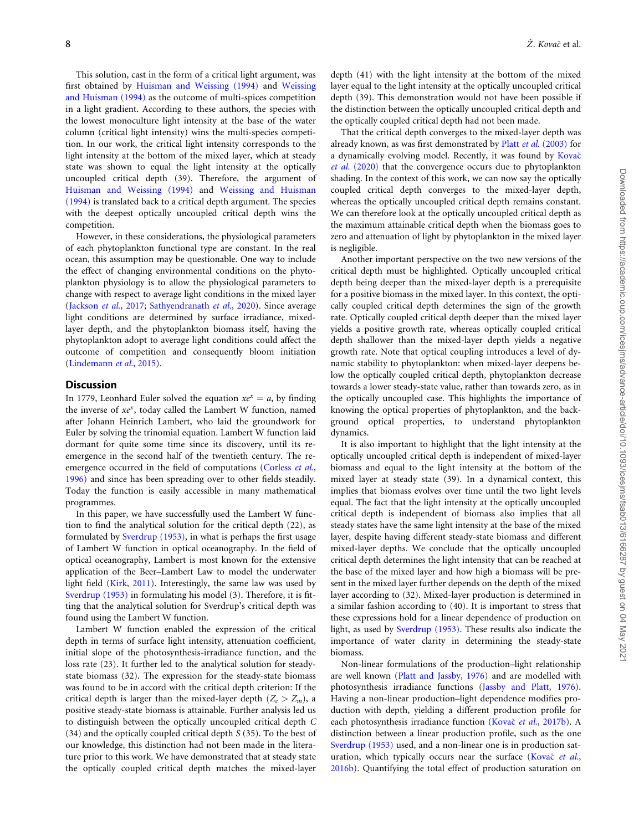This solution, cast in the form of a critical light argument, was first obtained by [Huisman and Weissing \(1994\)](#page-10-0) and [Weissing](#page-10-0) [and Huisman \(1994\)](#page-10-0) as the outcome of multi-spices competition in a light gradient. According to these authors, the species with the lowest monoculture light intensity at the base of the water column (critical light intensity) wins the multi-species competition. In our work, the critical light intensity corresponds to the light intensity at the bottom of the mixed layer, which at steady state was shown to equal the light intensity at the optically uncoupled critical depth (39). Therefore, the argument of [Huisman and Weissing \(1994\)](#page-10-0) and [Weissing and Huisman](#page-10-0) [\(1994\)](#page-10-0) is translated back to a critical depth argument. The species with the deepest optically uncoupled critical depth wins the competition.

However, in these considerations, the physiological parameters of each phytoplankton functional type are constant. In the real ocean, this assumption may be questionable. One way to include the effect of changing environmental conditions on the phytoplankton physiology is to allow the physiological parameters to change with respect to average light conditions in the mixed layer ([Jackson](#page-10-0) et al., 2017; [Sathyendranath](#page-10-0) et al., 2020). Since average light conditions are determined by surface irradiance, mixedlayer depth, and the phytoplankton biomass itself, having the phytoplankton adopt to average light conditions could affect the outcome of competition and consequently bloom initiation ([Lindemann](#page-10-0) et al., 2015).

# **Discussion**

In 1779, Leonhard Euler solved the equation  $xe^{x} = a$ , by finding the inverse of  $xe^x$ , today called the Lambert W function, named after Johann Heinrich Lambert, who laid the groundwork for Euler by solving the trinomial equation. Lambert W function laid dormant for quite some time since its discovery, until its reemergence in the second half of the twentieth century. The re-emergence occurred in the field of computations ([Corless](#page-9-0) et al., [1996\)](#page-9-0) and since has been spreading over to other fields steadily. Today the function is easily accessible in many mathematical programmes.

In this paper, we have successfully used the Lambert W function to find the analytical solution for the critical depth (22), as formulated by [Sverdrup \(1953\)](#page-10-0), in what is perhaps the first usage of Lambert W function in optical oceanography. In the field of optical oceanography, Lambert is most known for the extensive application of the Beer–Lambert Law to model the underwater light field ([Kirk, 2011](#page-10-0)). Interestingly, the same law was used by [Sverdrup \(1953\)](#page-10-0) in formulating his model (3). Therefore, it is fitting that the analytical solution for Sverdrup's critical depth was found using the Lambert W function.

Lambert W function enabled the expression of the critical depth in terms of surface light intensity, attenuation coefficient, initial slope of the photosynthesis-irradiance function, and the loss rate (23). It further led to the analytical solution for steadystate biomass (32). The expression for the steady-state biomass was found to be in accord with the critical depth criterion: If the critical depth is larger than the mixed-layer depth  $(Z_c > Z_m)$ , a positive steady-state biomass is attainable. Further analysis led us to distinguish between the optically uncoupled critical depth C (34) and the optically coupled critical depth S (35). To the best of our knowledge, this distinction had not been made in the literature prior to this work. We have demonstrated that at steady state the optically coupled critical depth matches the mixed-layer

depth (41) with the light intensity at the bottom of the mixed layer equal to the light intensity at the optically uncoupled critical depth (39). This demonstration would not have been possible if the distinction between the optically uncoupled critical depth and the optically coupled critical depth had not been made.

That the critical depth converges to the mixed-layer depth was already known, as was first demonstrated by Platt et al. [\(2003\)](#page-10-0) for a dynamically evolving model. Recently, it was found by [Kova](#page-10-0)č et al. [\(2020\)](#page-10-0) that the convergence occurs due to phytoplankton shading. In the context of this work, we can now say the optically coupled critical depth converges to the mixed-layer depth, whereas the optically uncoupled critical depth remains constant. We can therefore look at the optically uncoupled critical depth as the maximum attainable critical depth when the biomass goes to zero and attenuation of light by phytoplankton in the mixed layer is negligible.

Another important perspective on the two new versions of the critical depth must be highlighted. Optically uncoupled critical depth being deeper than the mixed-layer depth is a prerequisite for a positive biomass in the mixed layer. In this context, the optically coupled critical depth determines the sign of the growth rate. Optically coupled critical depth deeper than the mixed layer yields a positive growth rate, whereas optically coupled critical depth shallower than the mixed-layer depth yields a negative growth rate. Note that optical coupling introduces a level of dynamic stability to phytoplankton: when mixed-layer deepens below the optically coupled critical depth, phytoplankton decrease towards a lower steady-state value, rather than towards zero, as in the optically uncoupled case. This highlights the importance of knowing the optical properties of phytoplankton, and the background optical properties, to understand phytoplankton dynamics.

It is also important to highlight that the light intensity at the optically uncoupled critical depth is independent of mixed-layer biomass and equal to the light intensity at the bottom of the mixed layer at steady state (39). In a dynamical context, this implies that biomass evolves over time until the two light levels equal. The fact that the light intensity at the optically uncoupled critical depth is independent of biomass also implies that all steady states have the same light intensity at the base of the mixed layer, despite having different steady-state biomass and different mixed-layer depths. We conclude that the optically uncoupled critical depth determines the light intensity that can be reached at the base of the mixed layer and how high a biomass will be present in the mixed layer further depends on the depth of the mixed layer according to (32). Mixed-layer production is determined in a similar fashion according to (40). It is important to stress that these expressions hold for a linear dependence of production on light, as used by [Sverdrup \(1953\)](#page-10-0). These results also indicate the importance of water clarity in determining the steady-state biomass.

Non-linear formulations of the production–light relationship are well known ([Platt and Jassby, 1976](#page-10-0)) and are modelled with photosynthesis irradiance functions ([Jassby and Platt, 1976](#page-10-0)). Having a non-linear production–light dependence modifies production with depth, yielding a different production profile for each photosynthesis irradiance function ([Kova](#page-10-0)č et al.[, 2017b](#page-10-0)). A distinction between a linear production profile, such as the one [Sverdrup \(1953\)](#page-10-0) used, and a non-linear one is in production sat-uration, which typically occurs near the surface ([Kova](#page-10-0)č [et al.](#page-10-0), [2016b](#page-10-0)). Quantifying the total effect of production saturation on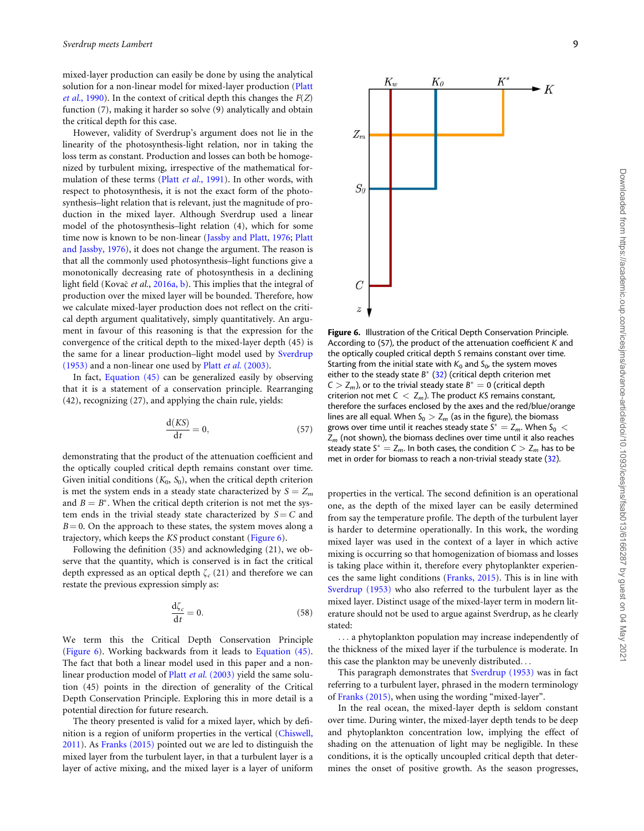<span id="page-8-0"></span>mixed-layer production can easily be done by using the analytical solution for a non-linear model for mixed-layer production ([Platt](#page-10-0) et al.[, 1990\)](#page-10-0). In the context of critical depth this changes the  $F(Z)$ function (7), making it harder so solve (9) analytically and obtain the critical depth for this case.

However, validity of Sverdrup's argument does not lie in the linearity of the photosynthesis-light relation, nor in taking the loss term as constant. Production and losses can both be homogenized by turbulent mixing, irrespective of the mathematical for-mulation of these terms (Platt et al.[, 1991](#page-10-0)). In other words, with respect to photosynthesis, it is not the exact form of the photosynthesis–light relation that is relevant, just the magnitude of production in the mixed layer. Although Sverdrup used a linear model of the photosynthesis–light relation (4), which for some time now is known to be non-linear ([Jassby and Platt, 1976](#page-10-0); [Platt](#page-10-0) [and Jassby, 1976](#page-10-0)), it does not change the argument. The reason is that all the commonly used photosynthesis–light functions give a monotonically decreasing rate of photosynthesis in a declining light field (Kovač et al., [2016a, b](#page-10-0)). This implies that the integral of production over the mixed layer will be bounded. Therefore, how we calculate mixed-layer production does not reflect on the critical depth argument qualitatively, simply quantitatively. An argument in favour of this reasoning is that the expression for the convergence of the critical depth to the mixed-layer depth (45) is the same for a linear production–light model used by [Sverdrup](#page-10-0) [\(1953\)](#page-10-0) and a non-linear one used by Platt et al. [\(2003\).](#page-10-0)

In fact, [Equation \(45\)](#page-5-0) can be generalized easily by observing that it is a statement of a conservation principle. Rearranging (42), recognizing (27), and applying the chain rule, yields:

$$
\frac{d(KS)}{dt} = 0,\t(57)
$$

demonstrating that the product of the attenuation coefficient and the optically coupled critical depth remains constant over time. Given initial conditions ( $K_0$ ,  $S_0$ ), when the critical depth criterion is met the system ends in a steady state characterized by  $S = Z_m$ and  $B = B^*$ . When the critical depth criterion is not met the system ends in the trivial steady state characterized by  $S = C$  and  $B = 0$ . On the approach to these states, the system moves along a trajectory, which keeps the KS product constant (Figure 6).

Following the definition (35) and acknowledging (21), we observe that the quantity, which is conserved is in fact the critical depth expressed as an optical depth  $\zeta_c$  (21) and therefore we can restate the previous expression simply as:

$$
\frac{\mathrm{d}\zeta_c}{\mathrm{d}t} = 0.\tag{58}
$$

We term this the Critical Depth Conservation Principle (Figure 6). Working backwards from it leads to [Equation \(45\).](#page-5-0) The fact that both a linear model used in this paper and a non-linear production model of Platt et al. [\(2003\)](#page-10-0) yield the same solution (45) points in the direction of generality of the Critical Depth Conservation Principle. Exploring this in more detail is a potential direction for future research.

The theory presented is valid for a mixed layer, which by definition is a region of uniform properties in the vertical ([Chiswell,](#page-9-0) [2011\)](#page-9-0). As [Franks \(2015\)](#page-9-0) pointed out we are led to distinguish the mixed layer from the turbulent layer, in that a turbulent layer is a layer of active mixing, and the mixed layer is a layer of uniform



According to (57), the product of the attenuation coefficient K and the optically coupled critical depth S remains constant over time. Starting from the initial state with  $K_0$  and  $S_0$ , the system moves either to the steady state  $B^*$  [\(32](#page-10-0)) (critical depth criterion met  $C > Z_m$ ), or to the trivial steady state  $B^* = 0$  (critical depth criterion not met  $C < Z_m$ ). The product KS remains constant, therefore the surfaces enclosed by the axes and the red/blue/orange lines are all equal. When  $S_0 > Z_m$  (as in the figure), the biomass grows over time until it reaches steady state  $S^* = Z_m$ . When  $S_0 <$  $Z_m$  (not shown), the biomass declines over time until it also reaches steady state  $S^* = Z_m$ . In both cases, the condition  $C > Z_m$  has to be met in order for biomass to reach a non-trivial steady state ([32](#page-10-0)).

properties in the vertical. The second definition is an operational one, as the depth of the mixed layer can be easily determined from say the temperature profile. The depth of the turbulent layer is harder to determine operationally. In this work, the wording mixed layer was used in the context of a layer in which active mixing is occurring so that homogenization of biomass and losses is taking place within it, therefore every phytoplankter experiences the same light conditions ([Franks, 2015\)](#page-9-0). This is in line with [Sverdrup \(1953\)](#page-10-0) who also referred to the turbulent layer as the mixed layer. Distinct usage of the mixed-layer term in modern literature should not be used to argue against Sverdrup, as he clearly stated:

... a phytoplankton population may increase independently of the thickness of the mixed layer if the turbulence is moderate. In this case the plankton may be unevenly distributed...

This paragraph demonstrates that [Sverdrup \(1953\)](#page-10-0) was in fact referring to a turbulent layer, phrased in the modern terminology of [Franks \(2015\),](#page-9-0) when using the wording "mixed-layer".

In the real ocean, the mixed-layer depth is seldom constant over time. During winter, the mixed-layer depth tends to be deep and phytoplankton concentration low, implying the effect of shading on the attenuation of light may be negligible. In these conditions, it is the optically uncoupled critical depth that determines the onset of positive growth. As the season progresses,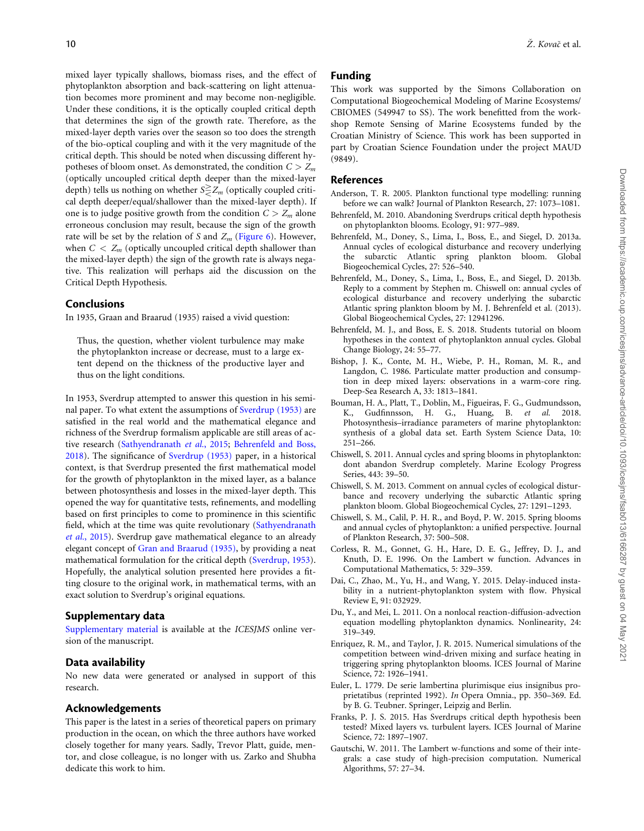<span id="page-9-0"></span>mixed layer typically shallows, biomass rises, and the effect of phytoplankton absorption and back-scattering on light attenuation becomes more prominent and may become non-negligible. Under these conditions, it is the optically coupled critical depth that determines the sign of the growth rate. Therefore, as the mixed-layer depth varies over the season so too does the strength of the bio-optical coupling and with it the very magnitude of the critical depth. This should be noted when discussing different hypotheses of bloom onset. As demonstrated, the condition  $C > Z_m$ (optically uncoupled critical depth deeper than the mixed-layer depth) tells us nothing on whether  $S \ge Z_m$  (optically coupled critical depth deeper/equal/shallower than the mixed-layer depth). If one is to judge positive growth from the condition  $C > Z_m$  alone erroneous conclusion may result, because the sign of the growth rate will be set by the relation of S and  $Z_m$  ([Figure 6](#page-8-0)). However, when  $C < Z_m$  (optically uncoupled critical depth shallower than the mixed-layer depth) the sign of the growth rate is always negative. This realization will perhaps aid the discussion on the Critical Depth Hypothesis.

# Conclusions

In 1935, Graan and Braarud (1935) raised a vivid question:

Thus, the question, whether violent turbulence may make the phytoplankton increase or decrease, must to a large extent depend on the thickness of the productive layer and thus on the light conditions.

In 1953, Sverdrup attempted to answer this question in his seminal paper. To what extent the assumptions of [Sverdrup \(1953\)](#page-10-0) are satisfied in the real world and the mathematical elegance and richness of the Sverdrup formalism applicable are still areas of active research [\(Sathyendranath](#page-10-0) et al., 2015; Behrenfeld and Boss, 2018). The significance of [Sverdrup \(1953\)](#page-10-0) paper, in a historical context, is that Sverdrup presented the first mathematical model for the growth of phytoplankton in the mixed layer, as a balance between photosynthesis and losses in the mixed-layer depth. This opened the way for quantitative tests, refinements, and modelling based on first principles to come to prominence in this scientific field, which at the time was quite revolutionary ([Sathyendranath](#page-10-0) et al.[, 2015\)](#page-10-0). Sverdrup gave mathematical elegance to an already elegant concept of [Gran and Braarud \(1935\)](#page-10-0), by providing a neat mathematical formulation for the critical depth [\(Sverdrup, 1953\)](#page-10-0). Hopefully, the analytical solution presented here provides a fitting closure to the original work, in mathematical terms, with an exact solution to Sverdrup's original equations.

# Supplementary data

[Supplementary material](https://academic.oup.com/icesjms/article-lookup/doi/10.1093/icesjms/fsab013#supplementary-data) is available at the ICESJMS online version of the manuscript.

# Data availability

No new data were generated or analysed in support of this research.

# Acknowledgements

This paper is the latest in a series of theoretical papers on primary production in the ocean, on which the three authors have worked closely together for many years. Sadly, Trevor Platt, guide, mentor, and close colleague, is no longer with us. Zarko and Shubha dedicate this work to him.

# Funding

This work was supported by the Simons Collaboration on Computational Biogeochemical Modeling of Marine Ecosystems/ CBIOMES (549947 to SS). The work benefitted from the workshop Remote Sensing of Marine Ecosystems funded by the Croatian Ministry of Science. This work has been supported in part by Croatian Science Foundation under the project MAUD (9849).

# References

- Anderson, T. R. 2005. Plankton functional type modelling: running before we can walk? Journal of Plankton Research, 27: 1073–1081.
- Behrenfeld, M. 2010. Abandoning Sverdrups critical depth hypothesis on phytoplankton blooms. Ecology, 91: 977–989.
- Behrenfeld, M., Doney, S., Lima, I., Boss, E., and Siegel, D. 2013a. Annual cycles of ecological disturbance and recovery underlying the subarctic Atlantic spring plankton bloom. Global Biogeochemical Cycles, 27: 526–540.
- Behrenfeld, M., Doney, S., Lima, I., Boss, E., and Siegel, D. 2013b. Reply to a comment by Stephen m. Chiswell on: annual cycles of ecological disturbance and recovery underlying the subarctic Atlantic spring plankton bloom by M. J. Behrenfeld et al. (2013). Global Biogeochemical Cycles, 27: 12941296.
- Behrenfeld, M. J., and Boss, E. S. 2018. Students tutorial on bloom hypotheses in the context of phytoplankton annual cycles. Global Change Biology, 24: 55–77.
- Bishop, J. K., Conte, M. H., Wiebe, P. H., Roman, M. R., and Langdon, C. 1986. Particulate matter production and consumption in deep mixed layers: observations in a warm-core ring. Deep-Sea Research A, 33: 1813–1841.
- Bouman, H. A., Platt, T., Doblin, M., Figueiras, F. G., Gudmundsson, K., Gudfinnsson, H. G., Huang, B. et al. 2018. Photosynthesis–irradiance parameters of marine phytoplankton: synthesis of a global data set. Earth System Science Data, 10: 251–266.
- Chiswell, S. 2011. Annual cycles and spring blooms in phytoplankton: dont abandon Sverdrup completely. Marine Ecology Progress Series, 443: 39–50.
- Chiswell, S. M. 2013. Comment on annual cycles of ecological disturbance and recovery underlying the subarctic Atlantic spring plankton bloom. Global Biogeochemical Cycles, 27: 1291–1293.
- Chiswell, S. M., Calil, P. H. R., and Boyd, P. W. 2015. Spring blooms and annual cycles of phytoplankton: a unified perspective. Journal of Plankton Research, 37: 500–508.
- Corless, R. M., Gonnet, G. H., Hare, D. E. G., Jeffrey, D. J., and Knuth, D. E. 1996. On the Lambert w function. Advances in Computational Mathematics, 5: 329–359.
- Dai, C., Zhao, M., Yu, H., and Wang, Y. 2015. Delay-induced instability in a nutrient-phytoplankton system with flow. Physical Review E, 91: 032929.
- Du, Y., and Mei, L. 2011. On a nonlocal reaction-diffusion-advection equation modelling phytoplankton dynamics. Nonlinearity, 24: 319–349.
- Enriquez, R. M., and Taylor, J. R. 2015. Numerical simulations of the competition between wind-driven mixing and surface heating in triggering spring phytoplankton blooms. ICES Journal of Marine Science, 72: 1926–1941.
- Euler, L. 1779. De serie lambertina plurimisque eius insignibus proprietatibus (reprinted 1992). In Opera Omnia., pp. 350–369. Ed. by B. G. Teubner. Springer, Leipzig and Berlin.
- Franks, P. J. S. 2015. Has Sverdrups critical depth hypothesis been tested? Mixed layers vs. turbulent layers. ICES Journal of Marine Science, 72: 1897–1907.
- Gautschi, W. 2011. The Lambert w-functions and some of their integrals: a case study of high-precision computation. Numerical Algorithms, 57: 27–34.